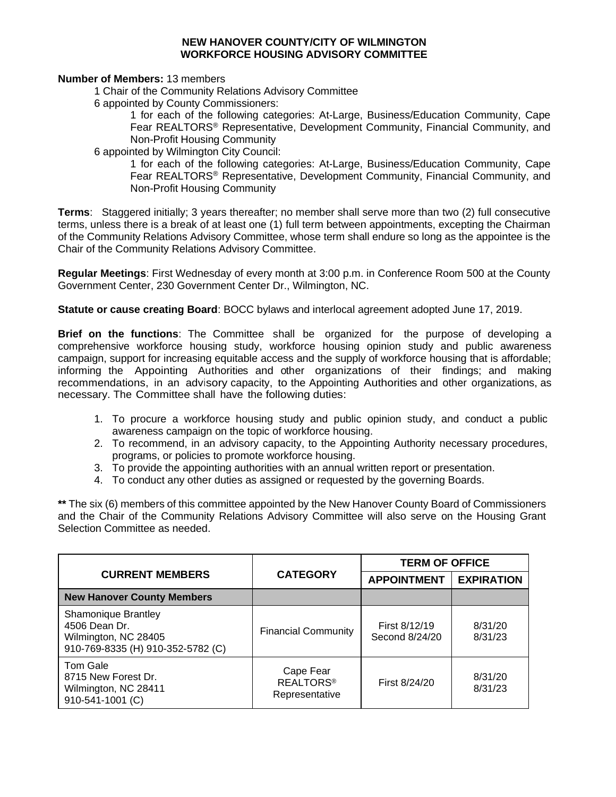## **NEW HANOVER COUNTY/CITY OF WILMINGTON WORKFORCE HOUSING ADVISORY COMMITTEE**

**Number of Members:** 13 members

1 Chair of the Community Relations Advisory Committee

6 appointed by County Commissioners:

1 for each of the following categories: At-Large, Business/Education Community, Cape Fear REALTORS® Representative, Development Community, Financial Community, and Non-Profit Housing Community

6 appointed by Wilmington City Council:

1 for each of the following categories: At-Large, Business/Education Community, Cape Fear REALTORS® Representative, Development Community, Financial Community, and Non-Profit Housing Community

**Terms**: Staggered initially; 3 years thereafter; no member shall serve more than two (2) full consecutive terms, unless there is a break of at least one (1) full term between appointments, excepting the Chairman of the Community Relations Advisory Committee, whose term shall endure so long as the appointee is the Chair of the Community Relations Advisory Committee.

**Regular Meetings**: First Wednesday of every month at 3:00 p.m. in Conference Room 500 at the County Government Center, 230 Government Center Dr., Wilmington, NC.

**Statute or cause creating Board**: BOCC bylaws and interlocal agreement adopted June 17, 2019.

**Brief on the functions**: The Committee shall be organized for the purpose of developing a comprehensive workforce housing study, workforce housing opinion study and public awareness campaign, support for increasing equitable access and the supply of workforce housing that is affordable; informing the Appointing Authorities and other organizations of their findings; and making recommendations, in an advisory capacity, to the Appointing Authorities and other organizations, as necessary. The Committee shall have the following duties:

- 1. To procure a workforce housing study and public opinion study, and conduct a public awareness campaign on the topic of workforce housing.
- 2. To recommend, in an advisory capacity, to the Appointing Authority necessary procedures, programs, or policies to promote workforce housing.
- 3. To provide the appointing authorities with an annual written report or presentation.
- 4. To conduct any other duties as assigned or requested by the governing Boards.

**\*\*** The six (6) members of this committee appointed by the New Hanover County Board of Commissioners and the Chair of the Community Relations Advisory Committee will also serve on the Housing Grant Selection Committee as needed.

| <b>CURRENT MEMBERS</b>                                                                                   | <b>CATEGORY</b>                                 | <b>TERM OF OFFICE</b>           |                    |
|----------------------------------------------------------------------------------------------------------|-------------------------------------------------|---------------------------------|--------------------|
|                                                                                                          |                                                 | <b>APPOINTMENT</b>              | <b>EXPIRATION</b>  |
| <b>New Hanover County Members</b>                                                                        |                                                 |                                 |                    |
| <b>Shamonique Brantley</b><br>4506 Dean Dr.<br>Wilmington, NC 28405<br>910-769-8335 (H) 910-352-5782 (C) | <b>Financial Community</b>                      | First 8/12/19<br>Second 8/24/20 | 8/31/20<br>8/31/23 |
| Tom Gale<br>8715 New Forest Dr.<br>Wilmington, NC 28411<br>910-541-1001 (C)                              | Cape Fear<br><b>REALTORS®</b><br>Representative | First 8/24/20                   | 8/31/20<br>8/31/23 |